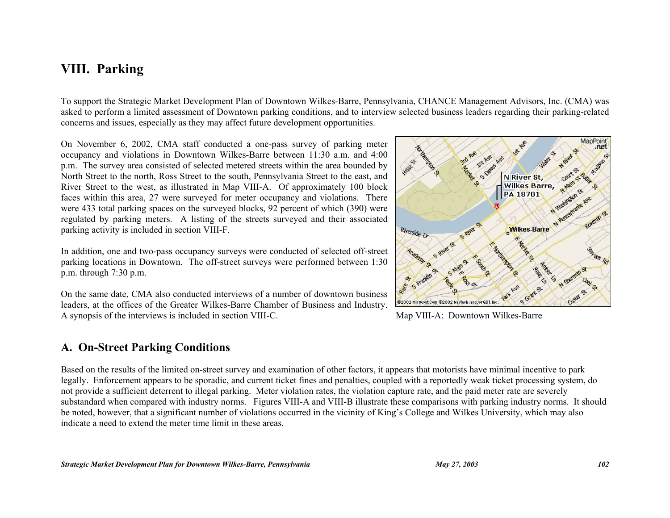# **VIII. Parking**

To support the Strategic Market Development Plan of Downtown Wilkes-Barre, Pennsylvania, CHANCE Management Advisors, Inc. (CMA) was asked to perform a limited assessment of Downtown parking conditions, and to interview selected business leaders regarding their parking-related concerns and issues, especially as they may affect future development opportunities.

On November 6, 2002, CMA staff conducted a one-pass survey of parking meter occupancy and violations in Downtown Wilkes-Barre between 11:30 a.m. and 4:00 p.m. The survey area consisted of selected metered streets within the area bounded by North Street to the north, Ross Street to the south, Pennsylvania Street to the east, and River Street to the west, as illustrated in Map VIII-A. Of approximately 100 block faces within this area, 27 were surveyed for meter occupancy and violations. There were 433 total parking spaces on the surveyed blocks, 92 percent of which (390) were regulated by parking meters. A listing of the streets surveyed and their associated parking activity is included in section VIII-F.

In addition, one and two-pass occupancy surveys were conducted of selected off-street parking locations in Downtown. The off-street surveys were performed between 1:30 p.m. through 7:30 p.m.

On the same date, CMA also conducted interviews of a number of downtown business leaders, at the offices of the Greater Wilkes-Barre Chamber of Business and Industry. A synopsis of the interviews is included in section VIII-C. Map VIII-A: Downtown Wilkes-Barre

## **A. On-Street Parking Conditions**

Based on the results of the limited on-street survey and examination of other factors, it appears that motorists have minimal incentive to park legally. Enforcement appears to be sporadic, and current ticket fines and penalties, coupled with a reportedly weak ticket processing system, do not provide a sufficient deterrent to illegal parking. Meter violation rates, the violation capture rate, and the paid meter rate are severely substandard when compared with industry norms. Figures VIII-A and VIII-B illustrate these comparisons with parking industry norms. It should be noted, however, that a significant number of violations occurred in the vicinity of King's College and Wilkes University, which may also indicate a need to extend the meter time limit in these areas.

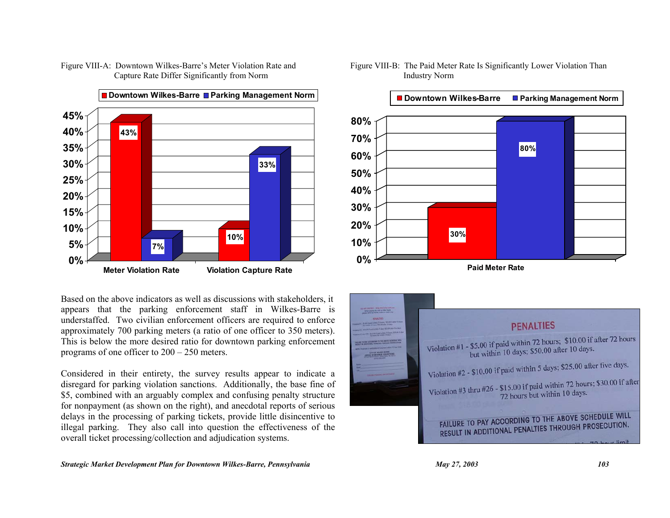

# Capture Rate Differ Significantly from Norm Industry Norm

Based on the above indicators as well as discussions with stakeholders, it appears that the parking enforcement staff in Wilkes-Barre is understaffed. Two civilian enforcement officers are required to enforce approximately 700 parking meters (a ratio of one officer to 350 meters). This is below the more desired ratio for downtown parking enforcement programs of one officer to 200 – 250 meters.

Considered in their entirety, the survey results appear to indicate a disregard for parking violation sanctions. Additionally, the base fine of \$5, combined with an arguably complex and confusing penalty structure for nonpayment (as shown on the right), and anecdotal reports of serious delays in the processing of parking tickets, provide little disincentive to illegal parking. They also call into question the effectiveness of the overall ticket processing/collection and adjudication systems.







**Paid Meter Rate**

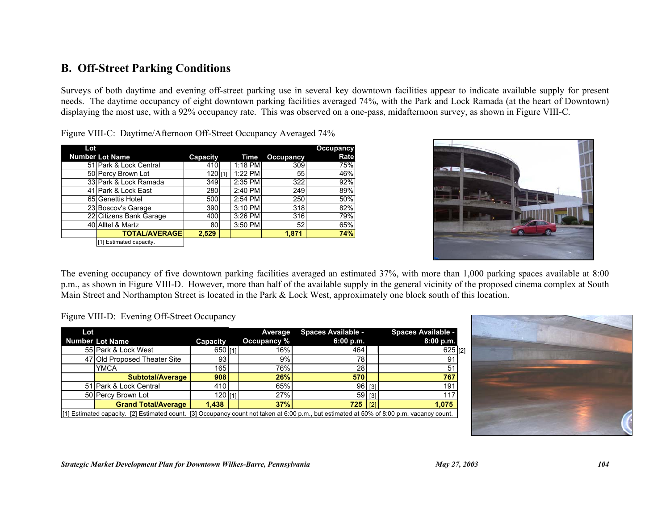## **B. Off-Street Parking Conditions**

Surveys of both daytime and evening off-street parking use in several key downtown facilities appear to indicate available supply for present needs. The daytime occupancy of eight downtown parking facilities averaged 74%, with the Park and Lock Ramada (at the heart of Downtown) displaying the most use, with a 92% occupancy rate. This was observed on a one-pass, midafternoon survey, as shown in Figure VIII-C.

| Lot |                         |              |           |                  | Occupancy |
|-----|-------------------------|--------------|-----------|------------------|-----------|
|     | <b>Number Lot Name</b>  | Capacity     | Time      | <b>Occupancy</b> | Rate      |
|     | 51 Park & Lock Central  | 410 <b>I</b> | $1:18$ PM | 309              | 75%       |
|     | 50 Percy Brown Lot      | 120 [1]      | 1:22 PM   | 55               | 46%       |
|     | 33 Park & Lock Ramada   | 349          | 2:35 PM   | 322              | 92%       |
|     | 41 Park & Lock East     | 280          | 2:40 PM   | 249              | 89%       |
|     | 65 Genettis Hotel       | 500          | 2:54 PM   | 250              | 50%       |
|     | 23 Boscov's Garage      | 390          | 3:10 PM   | 318              | 82%       |
|     | 22 Citizens Bank Garage | 400          | 3:26 PM   | 316              | 79%       |
|     | 40 Alltel & Martz       | 80           | 3:50 PM   | 52               | 65%       |
|     | <b>TOTAL/AVERAGE</b>    | 2,529        |           | 1,871            | 74%       |
|     | [1] Estimated capacity. |              |           |                  |           |

Figure VIII-C: Daytime/Afternoon Off-Street Occupancy Averaged 74%



The evening occupancy of five downtown parking facilities averaged an estimated 37%, with more than 1,000 parking spaces available at 8:00 p.m., as shown in Figure VIII-D. However, more than half of the available supply in the general vicinity of the proposed cinema complex at South Main Street and Northampton Street is located in the Park & Lock West, approximately one block south of this location.

Figure VIII-D: Evening Off-Street Occupancy

| Lot                                                                                                                                       | <b>Number Lot Name</b>       | Capacity  |  | Average<br>Occupancy % | <b>Spaces Available -</b><br>6:00 p.m. |          | Spaces Available -<br>8:00 p.m. |  |  |  |
|-------------------------------------------------------------------------------------------------------------------------------------------|------------------------------|-----------|--|------------------------|----------------------------------------|----------|---------------------------------|--|--|--|
|                                                                                                                                           | 55 Park & Lock West          | 650 [1]   |  | 16%                    | 464                                    |          | $625$ $12$                      |  |  |  |
|                                                                                                                                           | 47 Old Proposed Theater Site | 93 I      |  | 9%                     | 78)                                    |          | 91                              |  |  |  |
|                                                                                                                                           | YMCA                         | 165 I     |  | 76%                    | 28                                     |          | 51                              |  |  |  |
|                                                                                                                                           | Subtotal/Average             | 908       |  | 26%                    | 570                                    |          | 767                             |  |  |  |
|                                                                                                                                           | 51 Park & Lock Central       | 410       |  | 65%                    |                                        | $96$ [3] | 191                             |  |  |  |
|                                                                                                                                           | 50 Percy Brown Lot           | $120$ [1] |  | 27%                    |                                        | 59 [3]   | 117                             |  |  |  |
|                                                                                                                                           | <b>Grand Total/Average</b>   | 1.438     |  | 37%                    | <b>725   [2]</b>                       |          | 1.075                           |  |  |  |
| [1] Estimated capacity. [2] Estimated count. [3] Occupancy count not taken at 6:00 p.m., but estimated at 50% of 8:00 p.m. vacancy count. |                              |           |  |                        |                                        |          |                                 |  |  |  |



*Strategic Market Development Plan for Downtown Wilkes-Barre, Pennsylvania* May 27, 2003 May 27, 2003 104 *104 104*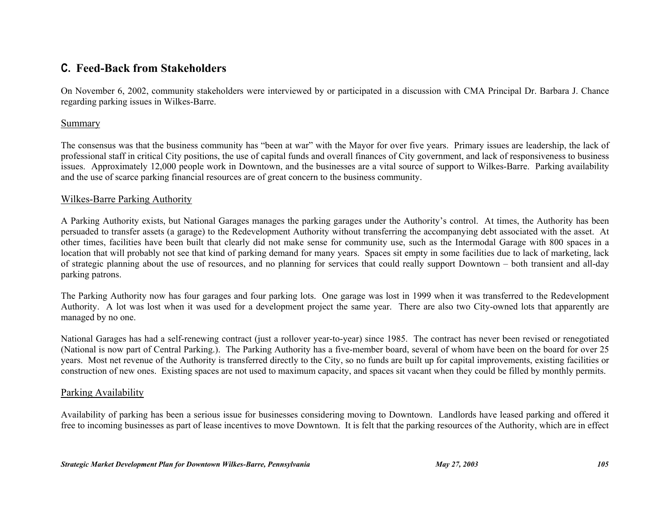## **C. Feed-Back from Stakeholders**

On November 6, 2002, community stakeholders were interviewed by or participated in a discussion with CMA Principal Dr. Barbara J. Chance regarding parking issues in Wilkes-Barre.

#### Summary

The consensus was that the business community has "been at war" with the Mayor for over five years. Primary issues are leadership, the lack of professional staff in critical City positions, the use of capital funds and overall finances of City government, and lack of responsiveness to business issues. Approximately 12,000 people work in Downtown, and the businesses are a vital source of support to Wilkes-Barre. Parking availability and the use of scarce parking financial resources are of great concern to the business community.

#### Wilkes-Barre Parking Authority

A Parking Authority exists, but National Garages manages the parking garages under the Authority's control. At times, the Authority has been persuaded to transfer assets (a garage) to the Redevelopment Authority without transferring the accompanying debt associated with the asset. At other times, facilities have been built that clearly did not make sense for community use, such as the Intermodal Garage with 800 spaces in a location that will probably not see that kind of parking demand for many years. Spaces sit empty in some facilities due to lack of marketing, lack of strategic planning about the use of resources, and no planning for services that could really support Downtown – both transient and all-day parking patrons.

The Parking Authority now has four garages and four parking lots. One garage was lost in 1999 when it was transferred to the Redevelopment Authority. A lot was lost when it was used for a development project the same year. There are also two City-owned lots that apparently are managed by no one.

National Garages has had a self-renewing contract (just a rollover year-to-year) since 1985. The contract has never been revised or renegotiated (National is now part of Central Parking.). The Parking Authority has a five-member board, several of whom have been on the board for over 25 years. Most net revenue of the Authority is transferred directly to the City, so no funds are built up for capital improvements, existing facilities or construction of new ones. Existing spaces are not used to maximum capacity, and spaces sit vacant when they could be filled by monthly permits.

#### Parking Availability

Availability of parking has been a serious issue for businesses considering moving to Downtown. Landlords have leased parking and offered it free to incoming businesses as part of lease incentives to move Downtown. It is felt that the parking resources of the Authority, which are in effect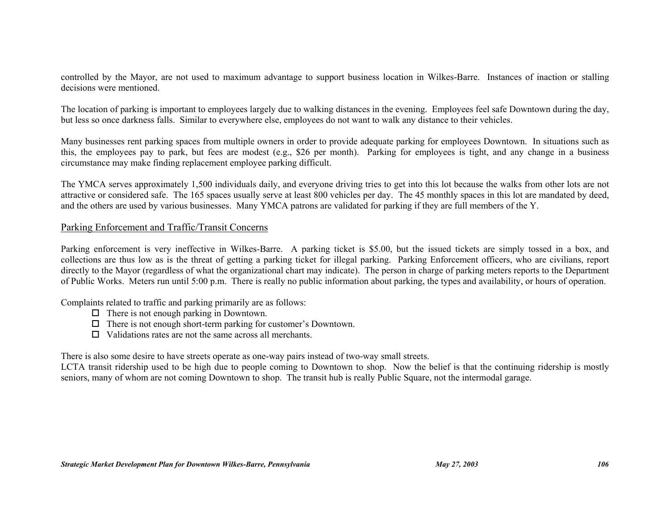controlled by the Mayor, are not used to maximum advantage to support business location in Wilkes-Barre. Instances of inaction or stalling decisions were mentioned.

The location of parking is important to employees largely due to walking distances in the evening. Employees feel safe Downtown during the day, but less so once darkness falls. Similar to everywhere else, employees do not want to walk any distance to their vehicles.

Many businesses rent parking spaces from multiple owners in order to provide adequate parking for employees Downtown. In situations such as this, the employees pay to park, but fees are modest (e.g., \$26 per month). Parking for employees is tight, and any change in a business circumstance may make finding replacement employee parking difficult.

The YMCA serves approximately 1,500 individuals daily, and everyone driving tries to get into this lot because the walks from other lots are not attractive or considered safe. The 165 spaces usually serve at least 800 vehicles per day. The 45 monthly spaces in this lot are mandated by deed, and the others are used by various businesses. Many YMCA patrons are validated for parking if they are full members of the Y.

#### Parking Enforcement and Traffic/Transit Concerns

Parking enforcement is very ineffective in Wilkes-Barre. A parking ticket is \$5.00, but the issued tickets are simply tossed in a box, and collections are thus low as is the threat of getting a parking ticket for illegal parking. Parking Enforcement officers, who are civilians, report directly to the Mayor (regardless of what the organizational chart may indicate). The person in charge of parking meters reports to the Department of Public Works. Meters run until 5:00 p.m. There is really no public information about parking, the types and availability, or hours of operation.

Complaints related to traffic and parking primarily are as follows:

- $\Box$  There is not enough parking in Downtown.
- $\Box$  There is not enough short-term parking for customer's Downtown.
- $\Box$  Validations rates are not the same across all merchants.

There is also some desire to have streets operate as one-way pairs instead of two-way small streets.

LCTA transit ridership used to be high due to people coming to Downtown to shop. Now the belief is that the continuing ridership is mostly seniors, many of whom are not coming Downtown to shop. The transit hub is really Public Square, not the intermodal garage.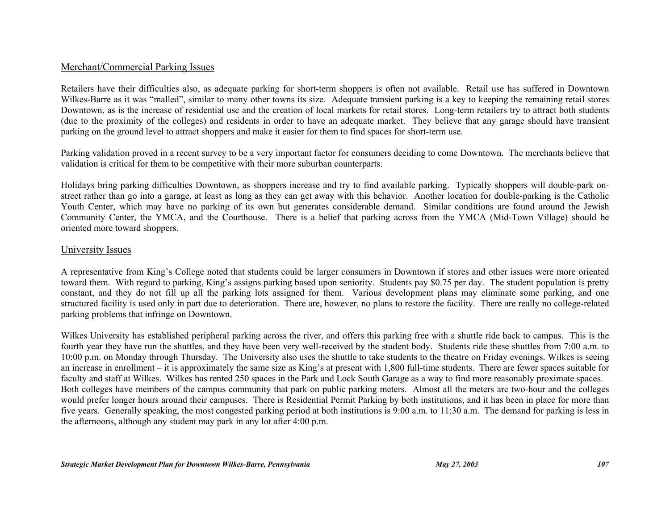#### Merchant/Commercial Parking Issues

Retailers have their difficulties also, as adequate parking for short-term shoppers is often not available. Retail use has suffered in Downtown Wilkes-Barre as it was "malled", similar to many other towns its size. Adequate transient parking is a key to keeping the remaining retail stores Downtown, as is the increase of residential use and the creation of local markets for retail stores. Long-term retailers try to attract both students (due to the proximity of the colleges) and residents in order to have an adequate market. They believe that any garage should have transient parking on the ground level to attract shoppers and make it easier for them to find spaces for short-term use.

Parking validation proved in a recent survey to be a very important factor for consumers deciding to come Downtown. The merchants believe that validation is critical for them to be competitive with their more suburban counterparts.

Holidays bring parking difficulties Downtown, as shoppers increase and try to find available parking. Typically shoppers will double-park onstreet rather than go into a garage, at least as long as they can get away with this behavior. Another location for double-parking is the Catholic Youth Center, which may have no parking of its own but generates considerable demand. Similar conditions are found around the Jewish Community Center, the YMCA, and the Courthouse. There is a belief that parking across from the YMCA (Mid-Town Village) should be oriented more toward shoppers.

#### University Issues

A representative from King's College noted that students could be larger consumers in Downtown if stores and other issues were more oriented toward them. With regard to parking, King's assigns parking based upon seniority. Students pay \$0.75 per day. The student population is pretty constant, and they do not fill up all the parking lots assigned for them. Various development plans may eliminate some parking, and one structured facility is used only in part due to deterioration. There are, however, no plans to restore the facility. There are really no college-related parking problems that infringe on Downtown.

Wilkes University has established peripheral parking across the river, and offers this parking free with a shuttle ride back to campus. This is the fourth year they have run the shuttles, and they have been very well-received by the student body. Students ride these shuttles from 7:00 a.m. to 10:00 p.m. on Monday through Thursday. The University also uses the shuttle to take students to the theatre on Friday evenings. Wilkes is seeing an increase in enrollment – it is approximately the same size as King's at present with 1,800 full-time students. There are fewer spaces suitable for faculty and staff at Wilkes. Wilkes has rented 250 spaces in the Park and Lock South Garage as a way to find more reasonably proximate spaces. Both colleges have members of the campus community that park on public parking meters. Almost all the meters are two-hour and the colleges would prefer longer hours around their campuses. There is Residential Permit Parking by both institutions, and it has been in place for more than five years. Generally speaking, the most congested parking period at both institutions is 9:00 a.m. to 11:30 a.m. The demand for parking is less in the afternoons, although any student may park in any lot after 4:00 p.m.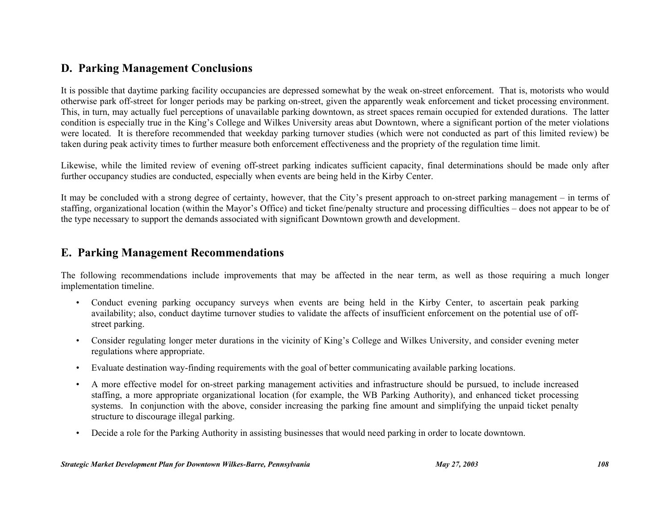## **D. Parking Management Conclusions**

It is possible that daytime parking facility occupancies are depressed somewhat by the weak on-street enforcement. That is, motorists who would otherwise park off-street for longer periods may be parking on-street, given the apparently weak enforcement and ticket processing environment. This, in turn, may actually fuel perceptions of unavailable parking downtown, as street spaces remain occupied for extended durations. The latter condition is especially true in the King's College and Wilkes University areas abut Downtown, where a significant portion of the meter violations were located. It is therefore recommended that weekday parking turnover studies (which were not conducted as part of this limited review) be taken during peak activity times to further measure both enforcement effectiveness and the propriety of the regulation time limit.

Likewise, while the limited review of evening off-street parking indicates sufficient capacity, final determinations should be made only after further occupancy studies are conducted, especially when events are being held in the Kirby Center.

It may be concluded with a strong degree of certainty, however, that the City's present approach to on-street parking management – in terms of staffing, organizational location (within the Mayor's Office) and ticket fine/penalty structure and processing difficulties – does not appear to be of the type necessary to support the demands associated with significant Downtown growth and development.

### **E. Parking Management Recommendations**

The following recommendations include improvements that may be affected in the near term, as well as those requiring a much longer implementation timeline.

- Conduct evening parking occupancy surveys when events are being held in the Kirby Center, to ascertain peak parking availability; also, conduct daytime turnover studies to validate the affects of insufficient enforcement on the potential use of offstreet parking.
- Consider regulating longer meter durations in the vicinity of King's College and Wilkes University, and consider evening meter regulations where appropriate.
- Evaluate destination way-finding requirements with the goal of better communicating available parking locations.
- A more effective model for on-street parking management activities and infrastructure should be pursued, to include increased staffing, a more appropriate organizational location (for example, the WB Parking Authority), and enhanced ticket processing systems. In conjunction with the above, consider increasing the parking fine amount and simplifying the unpaid ticket penalty structure to discourage illegal parking.
- Decide a role for the Parking Authority in assisting businesses that would need parking in order to locate downtown.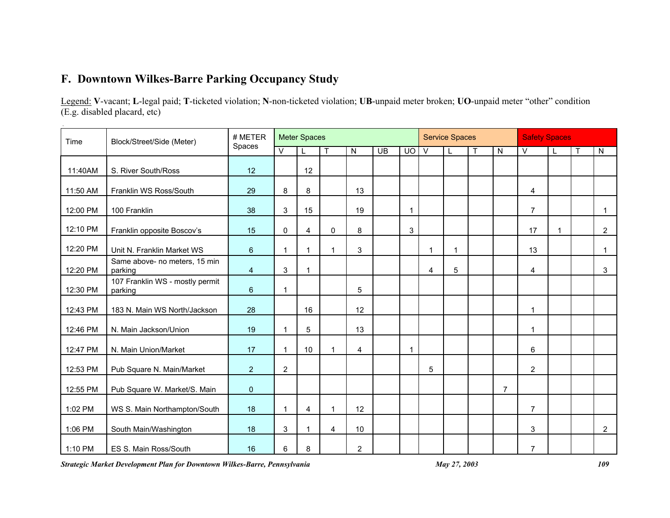## **F. Downtown Wilkes-Barre Parking Occupancy Study**

Legend: **V**-vacant; **L**-legal paid; **T**-ticketed violation; **N**-non-ticketed violation; **UB**-unpaid meter broken; **UO**-unpaid meter "other" condition (E.g. disabled placard, etc)

| Time     | Block/Street/Side (Meter)                  | # METER        |                | <b>Meter Spaces</b> |              |                |    |              |        | <b>Service Spaces</b> |   |                | <b>Safety Spaces</b> |   |  |                |
|----------|--------------------------------------------|----------------|----------------|---------------------|--------------|----------------|----|--------------|--------|-----------------------|---|----------------|----------------------|---|--|----------------|
|          |                                            | Spaces         | $\vee$         | $\mathbf{I}$        | $\mathsf{T}$ | N              | UB | <b>UO</b>    | $\vee$ | L                     | Т | ${\sf N}$      | $\vee$               | L |  | $\mathsf{N}$   |
| 11:40AM  | S. River South/Ross                        | 12             |                | 12                  |              |                |    |              |        |                       |   |                |                      |   |  |                |
| 11:50 AM | Franklin WS Ross/South                     | 29             | 8              | 8                   |              | 13             |    |              |        |                       |   |                | 4                    |   |  |                |
| 12:00 PM | 100 Franklin                               | 38             | 3              | 15                  |              | 19             |    | $\mathbf{1}$ |        |                       |   |                | $\overline{7}$       |   |  | $\mathbf 1$    |
| 12:10 PM | Franklin opposite Boscov's                 | 15             | 0              | 4                   | $\mathbf 0$  | 8              |    | $\mathsf 3$  |        |                       |   |                | 17                   | 1 |  | $\overline{2}$ |
| 12:20 PM | Unit N. Franklin Market WS                 | $6\phantom{1}$ | $\mathbf{1}$   | 1                   | $\mathbf 1$  | 3              |    |              | 1      | 1                     |   |                | 13                   |   |  | $\mathbf{1}$   |
| 12:20 PM | Same above- no meters, 15 min<br>parking   | $\overline{4}$ | 3              | 1                   |              |                |    |              | 4      | 5                     |   |                | 4                    |   |  | 3              |
| 12:30 PM | 107 Franklin WS - mostly permit<br>parking | $\,6\,$        | 1              |                     |              | 5              |    |              |        |                       |   |                |                      |   |  |                |
| 12:43 PM | 183 N. Main WS North/Jackson               | 28             |                | 16                  |              | 12             |    |              |        |                       |   |                | 1                    |   |  |                |
| 12:46 PM | N. Main Jackson/Union                      | 19             | $\mathbf{1}$   | 5                   |              | 13             |    |              |        |                       |   |                | 1                    |   |  |                |
| 12:47 PM | N. Main Union/Market                       | 17             | 1              | 10                  | $\mathbf 1$  | 4              |    | $\mathbf 1$  |        |                       |   |                | 6                    |   |  |                |
| 12:53 PM | Pub Square N. Main/Market                  | $\overline{2}$ | $\overline{2}$ |                     |              |                |    |              | 5      |                       |   |                | $\overline{2}$       |   |  |                |
| 12:55 PM | Pub Square W. Market/S. Main               | $\mathbf 0$    |                |                     |              |                |    |              |        |                       |   | $\overline{7}$ |                      |   |  |                |
| 1:02 PM  | WS S. Main Northampton/South               | 18             | 1              | 4                   | $\mathbf{1}$ | 12             |    |              |        |                       |   |                | $\overline{7}$       |   |  |                |
| 1:06 PM  | South Main/Washington                      | 18             | 3              | 1                   | 4            | 10             |    |              |        |                       |   |                | 3                    |   |  | $\overline{2}$ |
| 1:10 PM  | ES S. Main Ross/South                      | 16             | 6              | 8                   |              | $\overline{2}$ |    |              |        |                       |   |                | 7                    |   |  |                |

*Strategic Market Development Plan for Downtown Wilkes-Barre, Pennsylvania* May 27, 2003 May 27, 2003